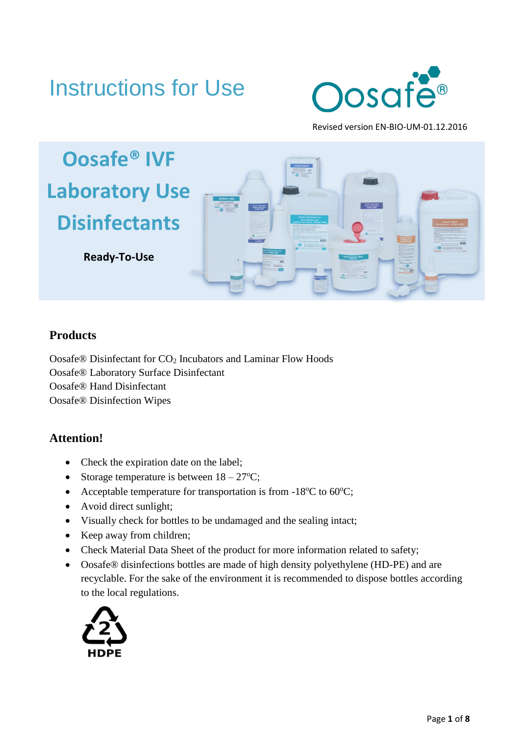# Instructions for Use



Revised version EN-BIO-UM-01.12.2016



# **Products**

Oosafe® Disinfectant for CO<sup>2</sup> Incubators and Laminar Flow Hoods Oosafe® Laboratory Surface Disinfectant Oosafe® Hand Disinfectant Oosafe® Disinfection Wipes

# **Attention!**

- Check the expiration date on the label;
- Storage temperature is between  $18 27$ °C;
- Acceptable temperature for transportation is from  $-18^{\circ}$ C to 60 $^{\circ}$ C;
- Avoid direct sunlight;
- Visually check for bottles to be undamaged and the sealing intact;
- Keep away from children;
- Check Material Data Sheet of the product for more information related to safety;
- Oosafe® disinfections bottles are made of high density polyethylene (HD-PE) and are recyclable. For the sake of the environment it is recommended to dispose bottles according to the local regulations.

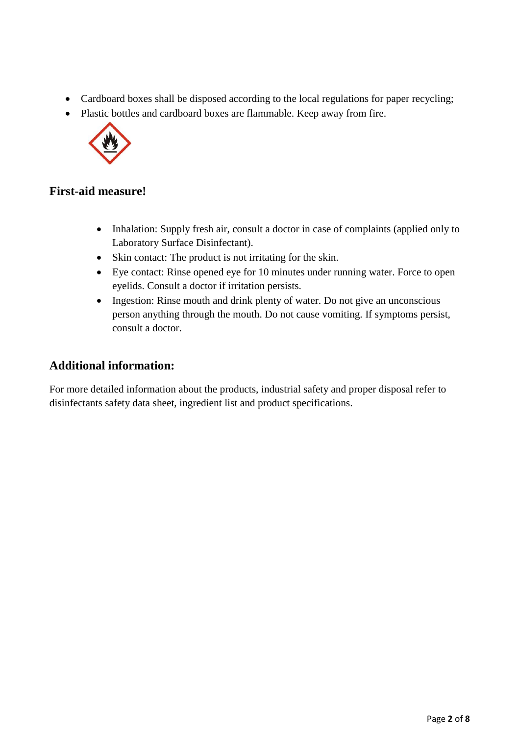- Cardboard boxes shall be disposed according to the local regulations for paper recycling;
- Plastic bottles and cardboard boxes are flammable. Keep away from fire.



# **First-aid measure!**

- Inhalation: Supply fresh air, consult a doctor in case of complaints (applied only to Laboratory Surface Disinfectant).
- Skin contact: The product is not irritating for the skin.
- Eye contact: Rinse opened eye for 10 minutes under running water. Force to open eyelids. Consult a doctor if irritation persists.
- Ingestion: Rinse mouth and drink plenty of water. Do not give an unconscious person anything through the mouth. Do not cause vomiting. If symptoms persist, consult a doctor.

# **Additional information:**

For more detailed information about the products, industrial safety and proper disposal refer to disinfectants safety data sheet, ingredient list and product specifications.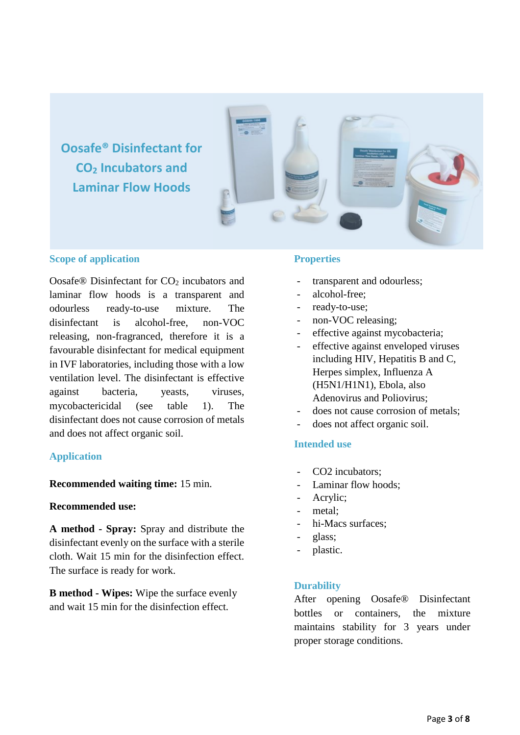**Oosafe® Disinfectant for CO<sup>2</sup> Incubators and Laminar Flow Hoods**



#### **Scope of application**

Oosafe® Disinfectant for CO<sub>2</sub> incubators and laminar flow hoods is a transparent and odourless ready-to-use mixture. The disinfectant is alcohol-free, non-VOC releasing, non-fragranced, therefore it is a favourable disinfectant for medical equipment in IVF laboratories, including those with a low ventilation level. The disinfectant is effective against bacteria, yeasts, viruses, mycobactericidal (see table 1). The disinfectant does not cause corrosion of metals and does not affect organic soil.

#### **Application**

#### **Recommended waiting time:** 15 min.

#### **Recommended use:**

**A method - Spray:** Spray and distribute the disinfectant evenly on the surface with a sterile cloth. Wait 15 min for the disinfection effect. The surface is ready for work.

**B method - Wipes:** Wipe the surface evenly and wait 15 min for the disinfection effect.

#### **Properties**

- transparent and odourless;
- alcohol-free:
- ready-to-use;
- non-VOC releasing;
- effective against mycobacteria;
- effective against enveloped viruses including HIV, Hepatitis B and C, Herpes simplex, Influenza A (H5N1/H1N1), Ebola, also Adenovirus and Poliovirus;
- does not cause corrosion of metals:
- does not affect organic soil.

#### **Intended use**

- CO2 incubators;
- Laminar flow hoods;
- Acrylic;
- metal;
- hi-Macs surfaces:
- glass;
- plastic.

#### **Durability**

After opening Oosafe® Disinfectant bottles or containers, the mixture maintains stability for 3 years under proper storage conditions.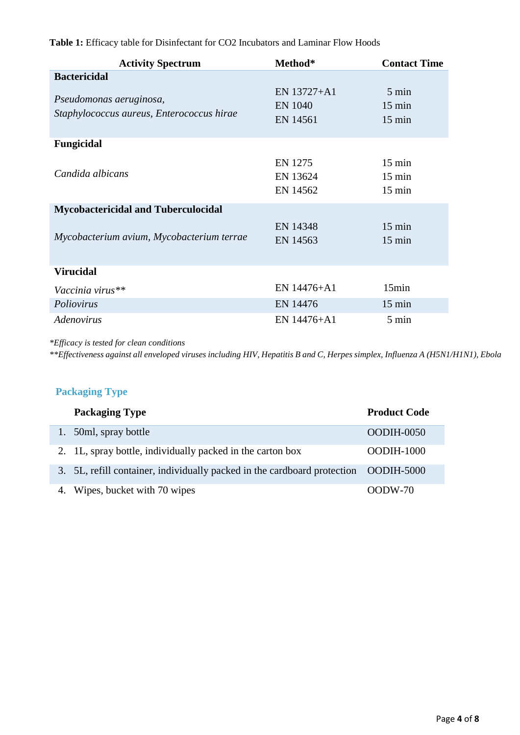| <b>Activity Spectrum</b>                                             | Method*                                   | <b>Contact Time</b>                                      |
|----------------------------------------------------------------------|-------------------------------------------|----------------------------------------------------------|
| <b>Bactericidal</b>                                                  |                                           |                                                          |
| Pseudomonas aeruginosa,<br>Staphylococcus aureus, Enterococcus hirae | EN 13727+A1<br><b>EN 1040</b><br>EN 14561 | 5 min<br>$15 \text{ min}$<br>$15 \text{ min}$            |
| <b>Fungicidal</b>                                                    |                                           |                                                          |
| Candida albicans                                                     | EN 1275<br>EN 13624<br>EN 14562           | $15 \text{ min}$<br>$15 \text{ min}$<br>$15 \text{ min}$ |
| <b>Mycobactericidal and Tuberculocidal</b>                           |                                           |                                                          |
| Mycobacterium avium, Mycobacterium terrae                            | EN 14348<br>EN 14563                      | $15 \text{ min}$<br>$15 \text{ min}$                     |
| <b>Virucidal</b>                                                     |                                           |                                                          |
| Vaccinia virus**                                                     | EN 14476+A1                               | 15min                                                    |
| Poliovirus                                                           | EN 14476                                  | $15 \text{ min}$                                         |
| Adenovirus                                                           | EN 14476+A1                               | 5 min                                                    |

**Table 1:** Efficacy table for Disinfectant for CO2 Incubators and Laminar Flow Hoods

*\*Efficacy is tested for clean conditions*

*\*\*Effectiveness against all enveloped viruses including HIV, Hepatitis B and C, Herpes simplex, Influenza A (H5N1/H1N1), Ebola*

# **Packaging Type**

| <b>Packaging Type</b>                                                               | <b>Product Code</b> |
|-------------------------------------------------------------------------------------|---------------------|
| 1. 50ml, spray bottle                                                               | OODIH-0050          |
| 2. 1L, spray bottle, individually packed in the carton box                          | $OODIH-1000$        |
| 3. 5L, refill container, individually packed in the cardboard protection OODIH-5000 |                     |
| 4. Wipes, bucket with 70 wipes                                                      | $OODW-70$           |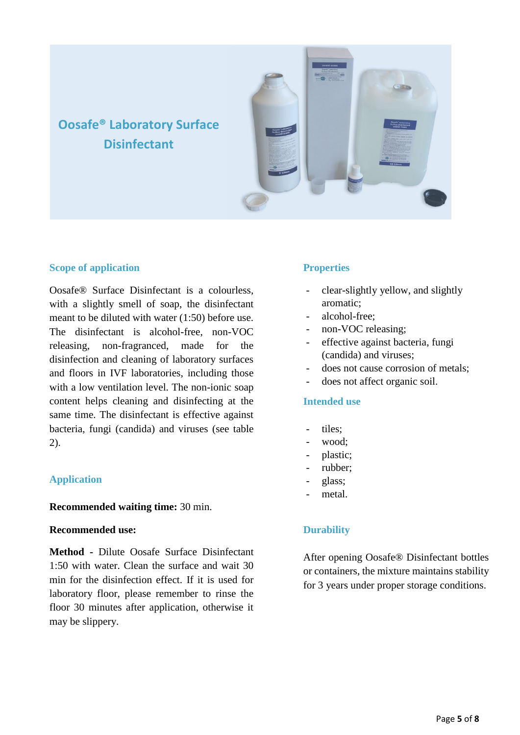# **Oosafe® Laboratory Surface Disinfectant**



#### **Scope of application**

Oosafe® Surface Disinfectant is a colourless, with a slightly smell of soap, the disinfectant meant to be diluted with water (1:50) before use. The disinfectant is alcohol-free, non-VOC releasing, non-fragranced, made for the disinfection and cleaning of laboratory surfaces and floors in IVF laboratories, including those with a low ventilation level. The non-ionic soap content helps cleaning and disinfecting at the same time. The disinfectant is effective against bacteria, fungi (candida) and viruses (see table 2).

#### **Application**

#### **Recommended waiting time:** 30 min.

#### **Recommended use:**

**Method -** Dilute Oosafe Surface Disinfectant 1:50 with water. Clean the surface and wait 30 min for the disinfection effect. If it is used for laboratory floor, please remember to rinse the floor 30 minutes after application, otherwise it may be slippery.

# **Properties**

- clear-slightly yellow, and slightly aromatic;
- alcohol-free:
- non-VOC releasing;
- effective against bacteria, fungi (candida) and viruses;
- does not cause corrosion of metals:
- does not affect organic soil.

#### **Intended use**

- tiles:
- wood;
- plastic;
- rubber;
- glass;
- metal.

#### **Durability**

After opening Oosafe® Disinfectant bottles or containers, the mixture maintains stability for 3 years under proper storage conditions.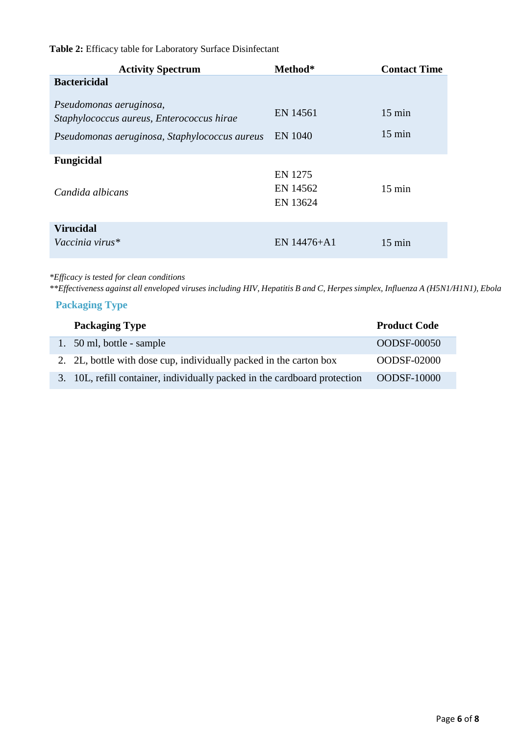# **Table 2:** Efficacy table for Laboratory Surface Disinfectant

| <b>Activity Spectrum</b>                                                                                              | Method*                         | <b>Contact Time</b>                  |
|-----------------------------------------------------------------------------------------------------------------------|---------------------------------|--------------------------------------|
| <b>Bactericidal</b>                                                                                                   |                                 |                                      |
| Pseudomonas aeruginosa,<br>Staphylococcus aureus, Enterococcus hirae<br>Pseudomonas aeruginosa, Staphylococcus aureus | EN 14561<br><b>EN 1040</b>      | $15 \text{ min}$<br>$15 \text{ min}$ |
| Fungicidal                                                                                                            |                                 |                                      |
| Candida albicans                                                                                                      | EN 1275<br>EN 14562<br>EN 13624 | $15 \text{ min}$                     |
| <b>Virucidal</b>                                                                                                      |                                 |                                      |
| Vaccinia virus*                                                                                                       | EN 14476+A1                     | $15 \text{ min}$                     |

#### *\*Efficacy is tested for clean conditions*

*\*\*Effectiveness against all enveloped viruses including HIV, Hepatitis B and C, Herpes simplex, Influenza A (H5N1/H1N1), Ebola*

# **Packaging Type**

| <b>Packaging Type</b>                                                     | <b>Product Code</b> |
|---------------------------------------------------------------------------|---------------------|
| 1. 50 ml, bottle - sample                                                 | <b>OODSF-00050</b>  |
| 2. 2L, bottle with dose cup, individually packed in the carton box        | OODSF-02000         |
| 3. 10L, refill container, individually packed in the cardboard protection | <b>OODSF-10000</b>  |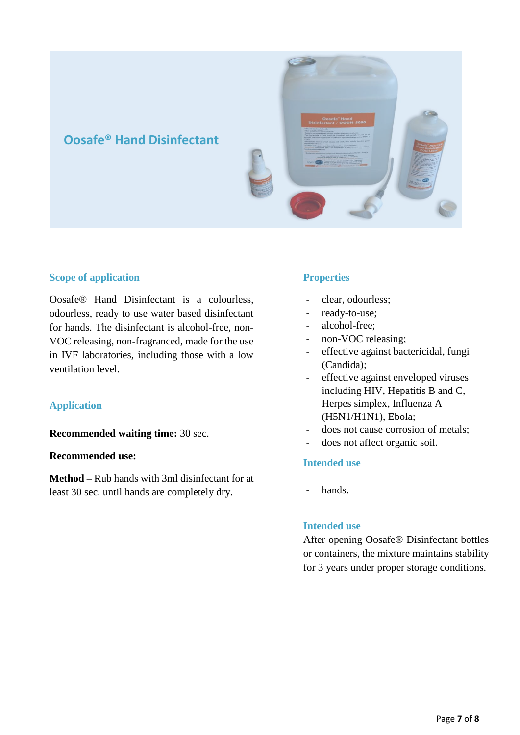

#### **Scope of application**

Oosafe® Hand Disinfectant is a colourless, odourless, ready to use water based disinfectant for hands. The disinfectant is alcohol-free, non-VOC releasing, non-fragranced, made for the use in IVF laboratories, including those with a low ventilation level.

#### **Application**

**Recommended waiting time:** 30 sec.

#### **Recommended use:**

**Method –** Rub hands with 3ml disinfectant for at least 30 sec. until hands are completely dry.

#### **Properties**

- clear, odourless;
- ready-to-use;
- alcohol-free;
- non-VOC releasing;
- effective against bactericidal, fungi (Candida);
- effective against enveloped viruses including HIV, Hepatitis B and C, Herpes simplex, Influenza A (H5N1/H1N1), Ebola;
- does not cause corrosion of metals;
- does not affect organic soil.

#### **Intended use**

hands.

#### **Intended use**

After opening Oosafe® Disinfectant bottles or containers, the mixture maintains stability for 3 years under proper storage conditions.